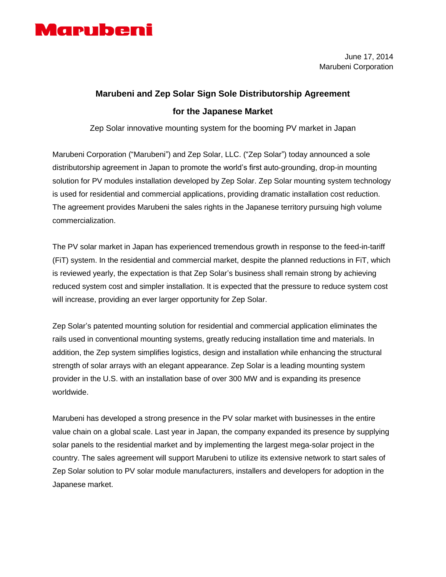

## **Marubeni and Zep Solar Sign Sole Distributorship Agreement for the Japanese Market**

Zep Solar innovative mounting system for the booming PV market in Japan

Marubeni Corporation ("Marubeni") and Zep Solar, LLC. ("Zep Solar") today announced a sole distributorship agreement in Japan to promote the world's first auto-grounding, drop-in mounting solution for PV modules installation developed by Zep Solar. Zep Solar mounting system technology is used for residential and commercial applications, providing dramatic installation cost reduction. The agreement provides Marubeni the sales rights in the Japanese territory pursuing high volume commercialization.

The PV solar market in Japan has experienced tremendous growth in response to the feed-in-tariff (FiT) system. In the residential and commercial market, despite the planned reductions in FiT, which is reviewed yearly, the expectation is that Zep Solar's business shall remain strong by achieving reduced system cost and simpler installation. It is expected that the pressure to reduce system cost will increase, providing an ever larger opportunity for Zep Solar.

Zep Solar's patented mounting solution for residential and commercial application eliminates the rails used in conventional mounting systems, greatly reducing installation time and materials. In addition, the Zep system simplifies logistics, design and installation while enhancing the structural strength of solar arrays with an elegant appearance. Zep Solar is a leading mounting system provider in the U.S. with an installation base of over 300 MW and is expanding its presence worldwide.

Marubeni has developed a strong presence in the PV solar market with businesses in the entire value chain on a global scale. Last year in Japan, the company expanded its presence by supplying solar panels to the residential market and by implementing the largest mega-solar project in the country. The sales agreement will support Marubeni to utilize its extensive network to start sales of Zep Solar solution to PV solar module manufacturers, installers and developers for adoption in the Japanese market.